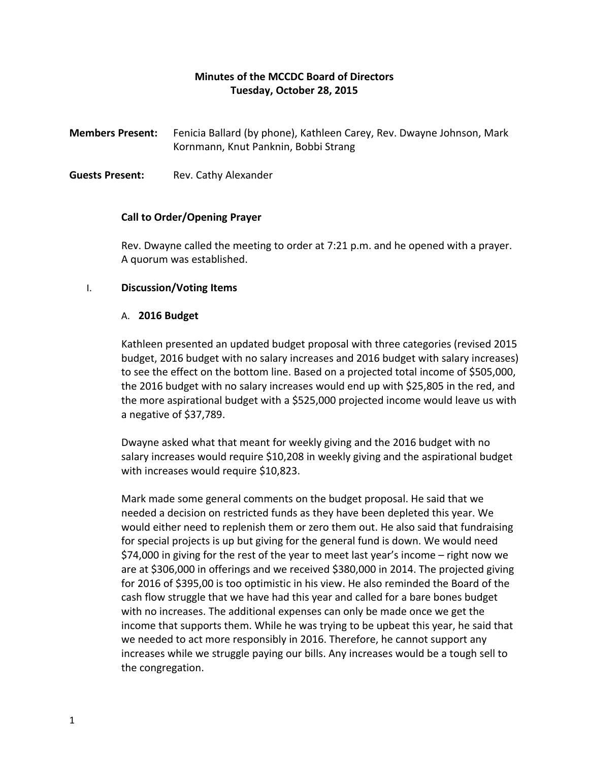## **Minutes of the MCCDC Board of Directors Tuesday, October 28, 2015**

**Members Present:** Fenicia Ballard (by phone), Kathleen Carey, Rev. Dwayne Johnson, Mark Kornmann, Knut Panknin, Bobbi Strang

**Guests Present:** Rev. Cathy Alexander

## **Call to Order/Opening Prayer**

Rev. Dwayne called the meeting to order at 7:21 p.m. and he opened with a prayer. A quorum was established.

## I. **Discussion/Voting Items**

## A. **2016 Budget**

Kathleen presented an updated budget proposal with three categories (revised 2015 budget, 2016 budget with no salary increases and 2016 budget with salary increases) to see the effect on the bottom line. Based on a projected total income of \$505,000, the 2016 budget with no salary increases would end up with \$25,805 in the red, and the more aspirational budget with a \$525,000 projected income would leave us with a negative of \$37,789.

Dwayne asked what that meant for weekly giving and the 2016 budget with no salary increases would require \$10,208 in weekly giving and the aspirational budget with increases would require \$10,823.

Mark made some general comments on the budget proposal. He said that we needed a decision on restricted funds as they have been depleted this year. We would either need to replenish them or zero them out. He also said that fundraising for special projects is up but giving for the general fund is down. We would need \$74,000 in giving for the rest of the year to meet last year's income – right now we are at \$306,000 in offerings and we received \$380,000 in 2014. The projected giving for 2016 of \$395,00 is too optimistic in his view. He also reminded the Board of the cash flow struggle that we have had this year and called for a bare bones budget with no increases. The additional expenses can only be made once we get the income that supports them. While he was trying to be upbeat this year, he said that we needed to act more responsibly in 2016. Therefore, he cannot support any increases while we struggle paying our bills. Any increases would be a tough sell to the congregation.